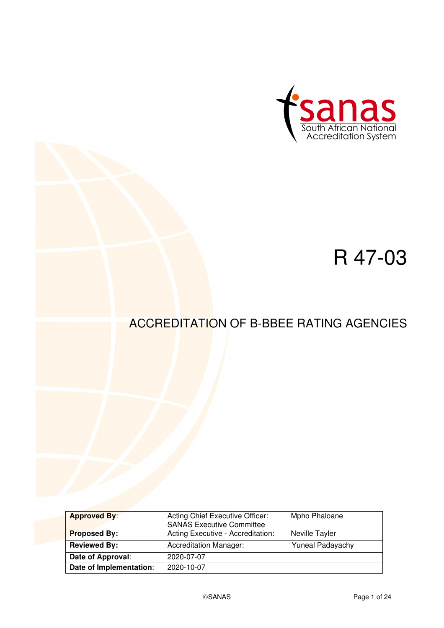

# R 47-03

# ACCREDITATION OF B-BBEE RATING AGENCIES

| <b>Approved By:</b>     | Acting Chief Executive Officer:<br><b>SANAS Executive Committee</b> | Mpho Phaloane           |
|-------------------------|---------------------------------------------------------------------|-------------------------|
| <b>Proposed By:</b>     | Acting Executive - Accreditation:                                   | Neville Tayler          |
| <b>Reviewed By:</b>     | <b>Accreditation Manager:</b>                                       | <b>Yuneal Padayachy</b> |
| Date of Approval:       | 2020-07-07                                                          |                         |
| Date of Implementation: | 2020-10-07                                                          |                         |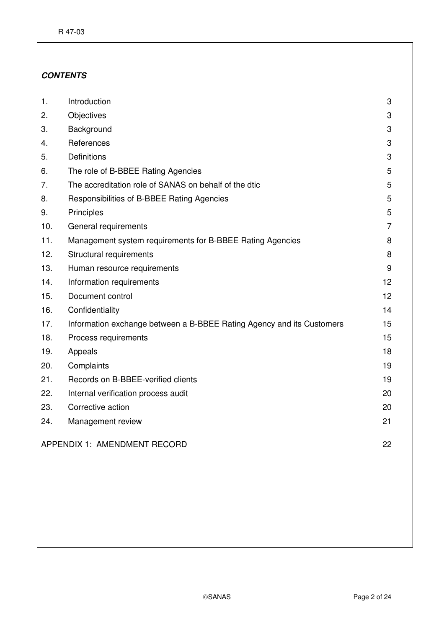### **CONTENTS**

| 1.                                 | Introduction                                                          | 3               |
|------------------------------------|-----------------------------------------------------------------------|-----------------|
| 2.                                 | Objectives                                                            | 3               |
| 3.                                 | Background                                                            | 3               |
| 4.                                 | References                                                            | 3               |
| 5.                                 | <b>Definitions</b>                                                    | 3               |
| 6.                                 | The role of B-BBEE Rating Agencies                                    | 5               |
| 7.                                 | The accreditation role of SANAS on behalf of the dtic                 | 5               |
| 8.                                 | Responsibilities of B-BBEE Rating Agencies                            | 5               |
| 9.                                 | Principles                                                            | 5               |
| 10.                                | General requirements                                                  | $\overline{7}$  |
| 11.                                | Management system requirements for B-BBEE Rating Agencies             | 8               |
| 12.                                | Structural requirements                                               | 8               |
| 13.                                | Human resource requirements                                           | 9               |
| 14.                                | Information requirements                                              | 12 <sup>2</sup> |
| 15.                                | Document control                                                      | 12 <sup>2</sup> |
| 16.                                | Confidentiality                                                       | 14              |
| 17.                                | Information exchange between a B-BBEE Rating Agency and its Customers | 15              |
| 18.                                | Process requirements                                                  | 15              |
| 19.                                | Appeals                                                               | 18              |
| 20.                                | Complaints                                                            | 19              |
| 21.                                | Records on B-BBEE-verified clients                                    | 19              |
| 22.                                | Internal verification process audit                                   | 20              |
| 23.                                | Corrective action                                                     | 20              |
| 24.                                | Management review                                                     | 21              |
| APPENDIX 1: AMENDMENT RECORD<br>22 |                                                                       |                 |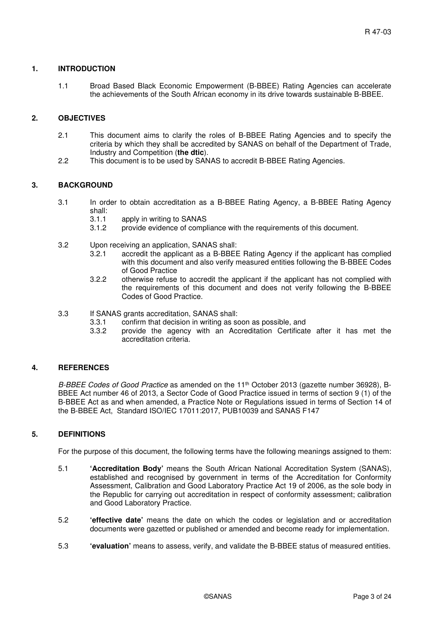#### **1. INTRODUCTION**

1.1 Broad Based Black Economic Empowerment (B-BBEE) Rating Agencies can accelerate the achievements of the South African economy in its drive towards sustainable B-BBEE.

#### **2. OBJECTIVES**

- 2.1 This document aims to clarify the roles of B-BBEE Rating Agencies and to specify the criteria by which they shall be accredited by SANAS on behalf of the Department of Trade, Industry and Competition (**the dtic**).
- 2.2 This document is to be used by SANAS to accredit B-BBEE Rating Agencies.

#### **3. BACKGROUND**

- 3.1 In order to obtain accreditation as a B-BBEE Rating Agency, a B-BBEE Rating Agency shall:
	- 3.1.1 apply in writing to SANAS
	- 3.1.2 provide evidence of compliance with the requirements of this document.
- 3.2 Upon receiving an application, SANAS shall:
	- 3.2.1 accredit the applicant as a B-BBEE Rating Agency if the applicant has complied with this document and also verify measured entities following the B-BBEE Codes of Good Practice
	- 3.2.2 otherwise refuse to accredit the applicant if the applicant has not complied with the requirements of this document and does not verify following the B-BBEE Codes of Good Practice.
- 3.3 If SANAS grants accreditation, SANAS shall:
	- 3.3.1 confirm that decision in writing as soon as possible, and
	- 3.3.2 provide the agency with an Accreditation Certificate after it has met the accreditation criteria.

#### **4. REFERENCES**

B-BBEE Codes of Good Practice as amended on the  $11<sup>th</sup>$  October 2013 (gazette number 36928), B-BBEE Act number 46 of 2013, a Sector Code of Good Practice issued in terms of section 9 (1) of the B-BBEE Act as and when amended, a Practice Note or Regulations issued in terms of Section 14 of the B-BBEE Act, Standard ISO/IEC 17011:2017, PUB10039 and SANAS F147

#### **5. DEFINITIONS**

For the purpose of this document, the following terms have the following meanings assigned to them:

- 5.1 **'Accreditation Body'** means the South African National Accreditation System (SANAS), established and recognised by government in terms of the Accreditation for Conformity Assessment, Calibration and Good Laboratory Practice Act 19 of 2006, as the sole body in the Republic for carrying out accreditation in respect of conformity assessment; calibration and Good Laboratory Practice.
- 5.2 **'effective date'** means the date on which the codes or legislation and or accreditation documents were gazetted or published or amended and become ready for implementation.
- 5.3 **'evaluation'** means to assess, verify, and validate the B-BBEE status of measured entities.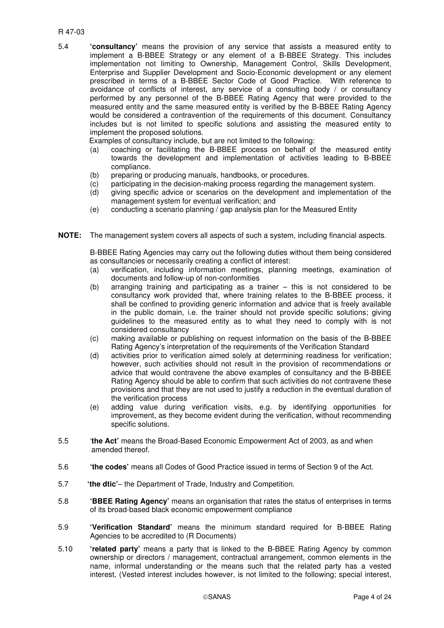#### R 47-03

5.4 **'consultancy'** means the provision of any service that assists a measured entity to implement a B-BBEE Strategy or any element of a B-BBEE Strategy. This includes implementation not limiting to Ownership, Management Control, Skills Development, Enterprise and Supplier Development and Socio-Economic development or any element prescribed in terms of a B-BBEE Sector Code of Good Practice. With reference to avoidance of conflicts of interest, any service of a consulting body / or consultancy performed by any personnel of the B-BBEE Rating Agency that were provided to the measured entity and the same measured entity is verified by the B-BBEE Rating Agency would be considered a contravention of the requirements of this document. Consultancy includes but is not limited to specific solutions and assisting the measured entity to implement the proposed solutions.

Examples of consultancy include, but are not limited to the following:

- (a) coaching or facilitating the B-BBEE process on behalf of the measured entity towards the development and implementation of activities leading to B-BBEE compliance.
- (b) preparing or producing manuals, handbooks, or procedures.
- (c) participating in the decision-making process regarding the management system.
- (d) giving specific advice or scenarios on the development and implementation of the management system for eventual verification; and
- (e) conducting a scenario planning / gap analysis plan for the Measured Entity
- **NOTE:** The management system covers all aspects of such a system, including financial aspects.

B-BBEE Rating Agencies may carry out the following duties without them being considered as consultancies or necessarily creating a conflict of interest:

- (a) verification, including information meetings, planning meetings, examination of documents and follow-up of non-conformities
- (b) arranging training and participating as a trainer this is not considered to be consultancy work provided that, where training relates to the B-BBEE process, it shall be confined to providing generic information and advice that is freely available in the public domain, i.e. the trainer should not provide specific solutions; giving guidelines to the measured entity as to what they need to comply with is not considered consultancy
- (c) making available or publishing on request information on the basis of the B-BBEE Rating Agency's interpretation of the requirements of the Verification Standard
- (d) activities prior to verification aimed solely at determining readiness for verification; however, such activities should not result in the provision of recommendations or advice that would contravene the above examples of consultancy and the B-BBEE Rating Agency should be able to confirm that such activities do not contravene these provisions and that they are not used to justify a reduction in the eventual duration of the verification process
- (e) adding value during verification visits, e.g. by identifying opportunities for improvement, as they become evident during the verification, without recommending specific solutions.
- 5.5 '**the Act'** means the Broad-Based Economic Empowerment Act of 2003, as and when amended thereof.
- 5.6 **'the codes'** means all Codes of Good Practice issued in terms of Section 9 of the Act.
- 5.7 **'the dtic'** the Department of Trade, Industry and Competition.
- 5.8 **'BBEE Rating Agency'** means an organisation that rates the status of enterprises in terms of its broad-based black economic empowerment compliance
- 5.9 **'Verification Standard'** means the minimum standard required for B-BBEE Rating Agencies to be accredited to (R Documents)
- 5.10 **'related party'** means a party that is linked to the B-BBEE Rating Agency by common ownership or directors / management, contractual arrangement, common elements in the name, informal understanding or the means such that the related party has a vested interest, (Vested interest includes however, is not limited to the following; special interest,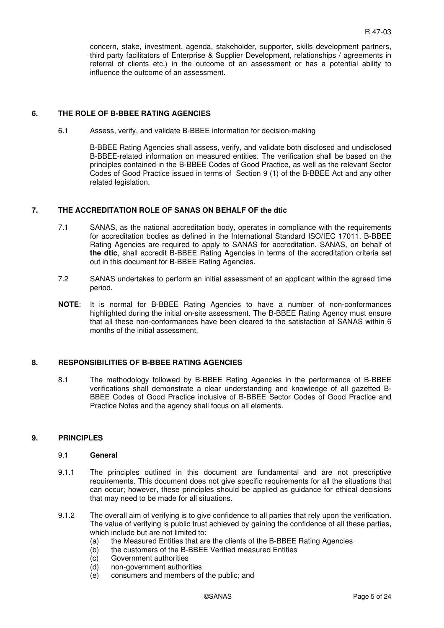concern, stake, investment, agenda, stakeholder, supporter, skills development partners, third party facilitators of Enterprise & Supplier Development, relationships / agreements in referral of clients etc.) in the outcome of an assessment or has a potential ability to influence the outcome of an assessment.

#### **6. THE ROLE OF B-BBEE RATING AGENCIES**

6.1 Assess, verify, and validate B-BBEE information for decision-making

B-BBEE Rating Agencies shall assess, verify, and validate both disclosed and undisclosed B-BBEE-related information on measured entities. The verification shall be based on the principles contained in the B-BBEE Codes of Good Practice, as well as the relevant Sector Codes of Good Practice issued in terms of Section 9 (1) of the B-BBEE Act and any other related legislation.

#### **7. THE ACCREDITATION ROLE OF SANAS ON BEHALF OF the dtic**

- 7.1 SANAS, as the national accreditation body, operates in compliance with the requirements for accreditation bodies as defined in the International Standard ISO/IEC 17011. B-BBEE Rating Agencies are required to apply to SANAS for accreditation. SANAS, on behalf of **the dtic**, shall accredit B-BBEE Rating Agencies in terms of the accreditation criteria set out in this document for B-BBEE Rating Agencies.
- 7.2 SANAS undertakes to perform an initial assessment of an applicant within the agreed time period.
- **NOTE**: It is normal for B-BBEE Rating Agencies to have a number of non-conformances highlighted during the initial on-site assessment. The B-BBEE Rating Agency must ensure that all these non-conformances have been cleared to the satisfaction of SANAS within 6 months of the initial assessment.

#### **8. RESPONSIBILITIES OF B-BBEE RATING AGENCIES**

8.1 The methodology followed by B-BBEE Rating Agencies in the performance of B-BBEE verifications shall demonstrate a clear understanding and knowledge of all gazetted B-BBEE Codes of Good Practice inclusive of B-BBEE Sector Codes of Good Practice and Practice Notes and the agency shall focus on all elements.

#### **9. PRINCIPLES**

#### 9.1 **General**

- 9.1.1 The principles outlined in this document are fundamental and are not prescriptive requirements. This document does not give specific requirements for all the situations that can occur; however, these principles should be applied as guidance for ethical decisions that may need to be made for all situations.
- 9.1.2 The overall aim of verifying is to give confidence to all parties that rely upon the verification. The value of verifying is public trust achieved by gaining the confidence of all these parties, which include but are not limited to:
	- (a) the Measured Entities that are the clients of the B-BBEE Rating Agencies
	- (b) the customers of the B-BBEE Verified measured Entities
	- (c) Government authorities<br>(d) non-government authori
	- non-government authorities
	- (e) consumers and members of the public; and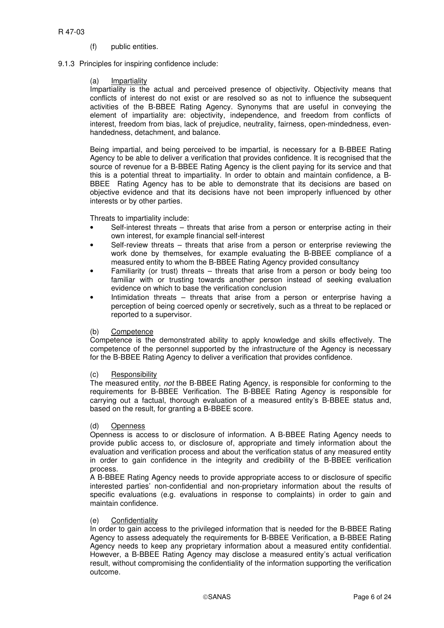- (f) public entities.
- 9.1.3 Principles for inspiring confidence include:

#### (a) Impartiality

Impartiality is the actual and perceived presence of objectivity. Objectivity means that conflicts of interest do not exist or are resolved so as not to influence the subsequent activities of the B-BBEE Rating Agency. Synonyms that are useful in conveying the element of impartiality are: objectivity, independence, and freedom from conflicts of interest, freedom from bias, lack of prejudice, neutrality, fairness, open-mindedness, evenhandedness, detachment, and balance.

Being impartial, and being perceived to be impartial, is necessary for a B-BBEE Rating Agency to be able to deliver a verification that provides confidence. It is recognised that the source of revenue for a B-BBEE Rating Agency is the client paying for its service and that this is a potential threat to impartiality. In order to obtain and maintain confidence, a B-BBEE Rating Agency has to be able to demonstrate that its decisions are based on objective evidence and that its decisions have not been improperly influenced by other interests or by other parties.

Threats to impartiality include:

- Self-interest threats threats that arise from a person or enterprise acting in their own interest, for example financial self-interest
- Self-review threats threats that arise from a person or enterprise reviewing the work done by themselves, for example evaluating the B-BBEE compliance of a measured entity to whom the B-BBEE Rating Agency provided consultancy
- Familiarity (or trust) threats threats that arise from a person or body being too familiar with or trusting towards another person instead of seeking evaluation evidence on which to base the verification conclusion
- Intimidation threats threats that arise from a person or enterprise having a perception of being coerced openly or secretively, such as a threat to be replaced or reported to a supervisor.

#### (b) Competence

Competence is the demonstrated ability to apply knowledge and skills effectively. The competence of the personnel supported by the infrastructure of the Agency is necessary for the B-BBEE Rating Agency to deliver a verification that provides confidence.

#### (c) Responsibility

The measured entity, not the B-BBEE Rating Agency, is responsible for conforming to the requirements for B-BBEE Verification. The B-BBEE Rating Agency is responsible for carrying out a factual, thorough evaluation of a measured entity's B-BBEE status and, based on the result, for granting a B-BBEE score.

#### (d) Openness

Openness is access to or disclosure of information. A B-BBEE Rating Agency needs to provide public access to, or disclosure of, appropriate and timely information about the evaluation and verification process and about the verification status of any measured entity in order to gain confidence in the integrity and credibility of the B-BBEE verification process.

A B-BBEE Rating Agency needs to provide appropriate access to or disclosure of specific interested parties' non-confidential and non-proprietary information about the results of specific evaluations (e.g. evaluations in response to complaints) in order to gain and maintain confidence.

#### (e) Confidentiality

In order to gain access to the privileged information that is needed for the B-BBEE Rating Agency to assess adequately the requirements for B-BBEE Verification, a B-BBEE Rating Agency needs to keep any proprietary information about a measured entity confidential. However, a B-BBEE Rating Agency may disclose a measured entity's actual verification result, without compromising the confidentiality of the information supporting the verification outcome.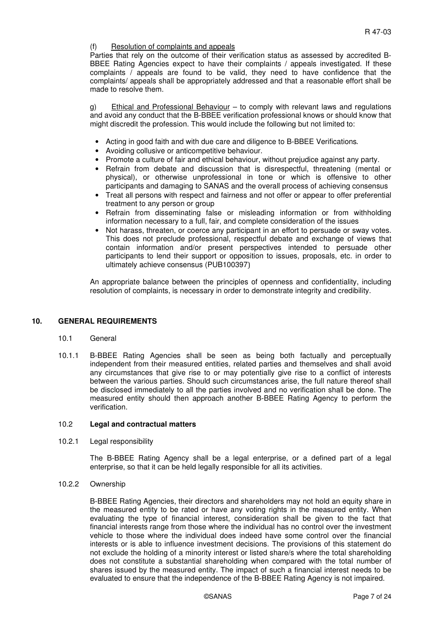#### (f) Resolution of complaints and appeals

Parties that rely on the outcome of their verification status as assessed by accredited B-BBEE Rating Agencies expect to have their complaints / appeals investigated. If these complaints  $\overline{\prime}$  appeals are found to be valid, they need to have confidence that the complaints/ appeals shall be appropriately addressed and that a reasonable effort shall be made to resolve them.

g) Ethical and Professional Behaviour – to comply with relevant laws and regulations and avoid any conduct that the B-BBEE verification professional knows or should know that might discredit the profession. This would include the following but not limited to:

- Acting in good faith and with due care and diligence to B-BBEE Verifications.
- Avoiding collusive or anticompetitive behaviour.
- Promote a culture of fair and ethical behaviour, without prejudice against any party.
- Refrain from debate and discussion that is disrespectful, threatening (mental or physical), or otherwise unprofessional in tone or which is offensive to other participants and damaging to SANAS and the overall process of achieving consensus
- Treat all persons with respect and fairness and not offer or appear to offer preferential treatment to any person or group
- Refrain from disseminating false or misleading information or from withholding information necessary to a full, fair, and complete consideration of the issues
- Not harass, threaten, or coerce any participant in an effort to persuade or sway votes. This does not preclude professional, respectful debate and exchange of views that contain information and/or present perspectives intended to persuade other participants to lend their support or opposition to issues, proposals, etc. in order to ultimately achieve consensus (PUB100397)

An appropriate balance between the principles of openness and confidentiality, including resolution of complaints, is necessary in order to demonstrate integrity and credibility.

#### **10. GENERAL REQUIREMENTS**

#### 10.1 General

10.1.1 B-BBEE Rating Agencies shall be seen as being both factually and perceptually independent from their measured entities, related parties and themselves and shall avoid any circumstances that give rise to or may potentially give rise to a conflict of interests between the various parties. Should such circumstances arise, the full nature thereof shall be disclosed immediately to all the parties involved and no verification shall be done. The measured entity should then approach another B-BBEE Rating Agency to perform the verification.

#### 10.2 **Legal and contractual matters**

10.2.1 Legal responsibility

The B-BBEE Rating Agency shall be a legal enterprise, or a defined part of a legal enterprise, so that it can be held legally responsible for all its activities.

10.2.2 Ownership

B-BBEE Rating Agencies, their directors and shareholders may not hold an equity share in the measured entity to be rated or have any voting rights in the measured entity. When evaluating the type of financial interest, consideration shall be given to the fact that financial interests range from those where the individual has no control over the investment vehicle to those where the individual does indeed have some control over the financial interests or is able to influence investment decisions. The provisions of this statement do not exclude the holding of a minority interest or listed share/s where the total shareholding does not constitute a substantial shareholding when compared with the total number of shares issued by the measured entity. The impact of such a financial interest needs to be evaluated to ensure that the independence of the B-BBEE Rating Agency is not impaired.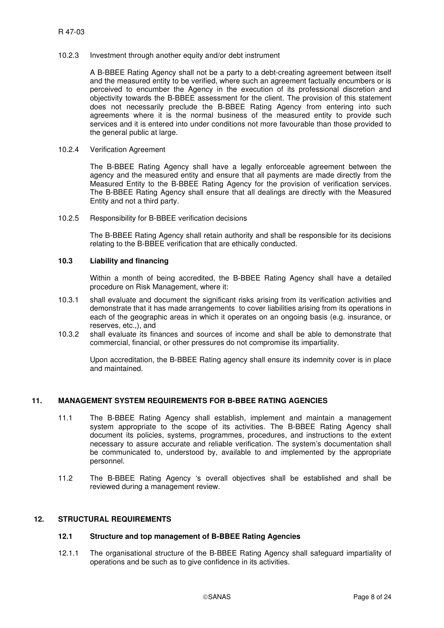#### 10.2.3 Investment through another equity and/or debt instrument

A B-BBEE Rating Agency shall not be a party to a debt-creating agreement between itself and the measured entity to be verified, where such an agreement factually encumbers or is perceived to encumber the Agency in the execution of its professional discretion and objectivity towards the B-BBEE assessment for the client. The provision of this statement does not necessarily preclude the B-BBEE Rating Agency from entering into such agreements where it is the normal business of the measured entity to provide such services and it is entered into under conditions not more favourable than those provided to the general public at large.

#### 10.2.4 Verification Agreement

The B-BBEE Rating Agency shall have a legally enforceable agreement between the agency and the measured entity and ensure that all payments are made directly from the Measured Entity to the B-BBEE Rating Agency for the provision of verification services. The B-BBEE Rating Agency shall ensure that all dealings are directly with the Measured Entity and not a third party.

#### 10.2.5 Responsibility for B-BBEE verification decisions

The B-BBEE Rating Agency shall retain authority and shall be responsible for its decisions relating to the B-BBEE verification that are ethically conducted.

#### **10.3 Liability and financing**

Within a month of being accredited, the B-BBEE Rating Agency shall have a detailed procedure on Risk Management, where it:

- 10.3.1 shall evaluate and document the significant risks arising from its verification activities and demonstrate that it has made arrangements to cover liabilities arising from its operations in each of the geographic areas in which it operates on an ongoing basis (e.g. insurance, or reserves, etc.,), and
- 10.3.2 shall evaluate its finances and sources of income and shall be able to demonstrate that commercial, financial, or other pressures do not compromise its impartiality.

Upon accreditation, the B-BBEE Rating agency shall ensure its indemnity cover is in place and maintained.

#### **11. MANAGEMENT SYSTEM REQUIREMENTS FOR B-BBEE RATING AGENCIES**

- 11.1 The B-BBEE Rating Agency shall establish, implement and maintain a management system appropriate to the scope of its activities. The B-BBEE Rating Agency shall document its policies, systems, programmes, procedures, and instructions to the extent necessary to assure accurate and reliable verification. The system's documentation shall be communicated to, understood by, available to and implemented by the appropriate personnel.
- 11.2 The B-BBEE Rating Agency 's overall objectives shall be established and shall be reviewed during a management review.

#### **12. STRUCTURAL REQUIREMENTS**

#### **12.1 Structure and top management of B-BBEE Rating Agencies**

12.1.1 The organisational structure of the B-BBEE Rating Agency shall safeguard impartiality of operations and be such as to give confidence in its activities.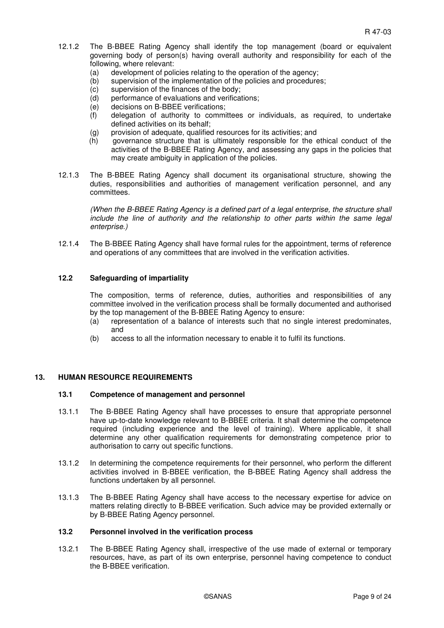- 12.1.2 The B-BBEE Rating Agency shall identify the top management (board or equivalent governing body of person(s) having overall authority and responsibility for each of the following, where relevant:
	- (a) development of policies relating to the operation of the agency;
	- (b) supervision of the implementation of the policies and procedures;
	- (c) supervision of the finances of the body;
	- (d) performance of evaluations and verifications;
	- (e) decisions on B-BBEE verifications;
	- (f) delegation of authority to committees or individuals, as required, to undertake defined activities on its behalf;
	- (g) provision of adequate, qualified resources for its activities; and
	- (h) governance structure that is ultimately responsible for the ethical conduct of the activities of the B-BBEE Rating Agency, and assessing any gaps in the policies that may create ambiguity in application of the policies.
- 12.1.3 The B-BBEE Rating Agency shall document its organisational structure, showing the duties, responsibilities and authorities of management verification personnel, and any committees.

(When the B-BBEE Rating Agency is a defined part of a legal enterprise, the structure shall include the line of authority and the relationship to other parts within the same legal enterprise.)

12.1.4 The B-BBEE Rating Agency shall have formal rules for the appointment, terms of reference and operations of any committees that are involved in the verification activities.

#### **12.2 Safeguarding of impartiality**

The composition, terms of reference, duties, authorities and responsibilities of any committee involved in the verification process shall be formally documented and authorised by the top management of the B-BBEE Rating Agency to ensure:

- (a) representation of a balance of interests such that no single interest predominates, and
- (b) access to all the information necessary to enable it to fulfil its functions.

#### **13. HUMAN RESOURCE REQUIREMENTS**

#### **13.1 Competence of management and personnel**

- 13.1.1 The B-BBEE Rating Agency shall have processes to ensure that appropriate personnel have up-to-date knowledge relevant to B-BBEE criteria. It shall determine the competence required (including experience and the level of training). Where applicable, it shall determine any other qualification requirements for demonstrating competence prior to authorisation to carry out specific functions.
- 13.1.2 In determining the competence requirements for their personnel, who perform the different activities involved in B-BBEE verification, the B-BBEE Rating Agency shall address the functions undertaken by all personnel.
- 13.1.3 The B-BBEE Rating Agency shall have access to the necessary expertise for advice on matters relating directly to B-BBEE verification. Such advice may be provided externally or by B-BBEE Rating Agency personnel.

#### **13.2 Personnel involved in the verification process**

13.2.1 The B-BBEE Rating Agency shall, irrespective of the use made of external or temporary resources, have, as part of its own enterprise, personnel having competence to conduct the B-BBEE verification.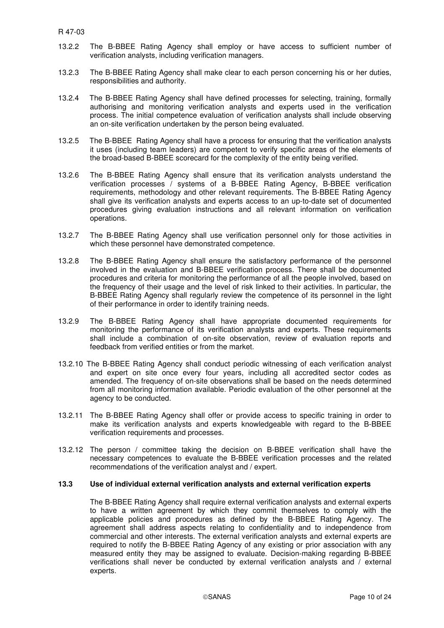- 13.2.2 The B-BBEE Rating Agency shall employ or have access to sufficient number of verification analysts, including verification managers.
- 13.2.3 The B-BBEE Rating Agency shall make clear to each person concerning his or her duties, responsibilities and authority.
- 13.2.4 The B-BBEE Rating Agency shall have defined processes for selecting, training, formally authorising and monitoring verification analysts and experts used in the verification process. The initial competence evaluation of verification analysts shall include observing an on-site verification undertaken by the person being evaluated.
- 13.2.5 The B-BBEE Rating Agency shall have a process for ensuring that the verification analysts it uses (including team leaders) are competent to verify specific areas of the elements of the broad-based B-BBEE scorecard for the complexity of the entity being verified.
- 13.2.6 The B-BBEE Rating Agency shall ensure that its verification analysts understand the verification processes / systems of a B-BBEE Rating Agency, B-BBEE verification requirements, methodology and other relevant requirements. The B-BBEE Rating Agency shall give its verification analysts and experts access to an up-to-date set of documented procedures giving evaluation instructions and all relevant information on verification operations.
- 13.2.7 The B-BBEE Rating Agency shall use verification personnel only for those activities in which these personnel have demonstrated competence.
- 13.2.8 The B-BBEE Rating Agency shall ensure the satisfactory performance of the personnel involved in the evaluation and B-BBEE verification process. There shall be documented procedures and criteria for monitoring the performance of all the people involved, based on the frequency of their usage and the level of risk linked to their activities. In particular, the B-BBEE Rating Agency shall regularly review the competence of its personnel in the light of their performance in order to identify training needs.
- 13.2.9 The B-BBEE Rating Agency shall have appropriate documented requirements for monitoring the performance of its verification analysts and experts. These requirements shall include a combination of on-site observation, review of evaluation reports and feedback from verified entities or from the market.
- 13.2.10 The B-BBEE Rating Agency shall conduct periodic witnessing of each verification analyst and expert on site once every four years, including all accredited sector codes as amended. The frequency of on-site observations shall be based on the needs determined from all monitoring information available. Periodic evaluation of the other personnel at the agency to be conducted.
- 13.2.11 The B-BBEE Rating Agency shall offer or provide access to specific training in order to make its verification analysts and experts knowledgeable with regard to the B-BBEE verification requirements and processes.
- 13.2.12 The person / committee taking the decision on B-BBEE verification shall have the necessary competences to evaluate the B-BBEE verification processes and the related recommendations of the verification analyst and / expert.

#### **13.3 Use of individual external verification analysts and external verification experts**

The B-BBEE Rating Agency shall require external verification analysts and external experts to have a written agreement by which they commit themselves to comply with the applicable policies and procedures as defined by the B-BBEE Rating Agency. The agreement shall address aspects relating to confidentiality and to independence from commercial and other interests. The external verification analysts and external experts are required to notify the B-BBEE Rating Agency of any existing or prior association with any measured entity they may be assigned to evaluate. Decision-making regarding B-BBEE verifications shall never be conducted by external verification analysts and / external experts.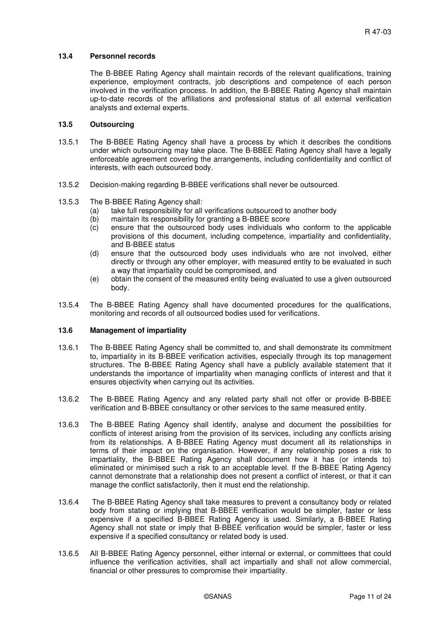#### **13.4 Personnel records**

The B-BBEE Rating Agency shall maintain records of the relevant qualifications, training experience, employment contracts, job descriptions and competence of each person involved in the verification process. In addition, the B-BBEE Rating Agency shall maintain up-to-date records of the affiliations and professional status of all external verification analysts and external experts.

#### **13.5 Outsourcing**

- 13.5.1 The B-BBEE Rating Agency shall have a process by which it describes the conditions under which outsourcing may take place. The B-BBEE Rating Agency shall have a legally enforceable agreement covering the arrangements, including confidentiality and conflict of interests, with each outsourced body.
- 13.5.2 Decision-making regarding B-BBEE verifications shall never be outsourced.

#### 13.5.3 The B-BBEE Rating Agency shall:

- (a) take full responsibility for all verifications outsourced to another body
- (b) maintain its responsibility for granting a B-BBEE score
- (c) ensure that the outsourced body uses individuals who conform to the applicable provisions of this document, including competence, impartiality and confidentiality, and B-BBEE status
- (d) ensure that the outsourced body uses individuals who are not involved, either directly or through any other employer, with measured entity to be evaluated in such a way that impartiality could be compromised, and
- (e) obtain the consent of the measured entity being evaluated to use a given outsourced body.
- 13.5.4 The B-BBEE Rating Agency shall have documented procedures for the qualifications, monitoring and records of all outsourced bodies used for verifications.

#### **13.6 Management of impartiality**

- 13.6.1 The B-BBEE Rating Agency shall be committed to, and shall demonstrate its commitment to, impartiality in its B-BBEE verification activities, especially through its top management structures. The B-BBEE Rating Agency shall have a publicly available statement that it understands the importance of impartiality when managing conflicts of interest and that it ensures objectivity when carrying out its activities.
- 13.6.2 The B-BBEE Rating Agency and any related party shall not offer or provide B-BBEE verification and B-BBEE consultancy or other services to the same measured entity.
- 13.6.3 The B-BBEE Rating Agency shall identify, analyse and document the possibilities for conflicts of interest arising from the provision of its services, including any conflicts arising from its relationships. A B-BBEE Rating Agency must document all its relationships in terms of their impact on the organisation. However, if any relationship poses a risk to impartiality, the B-BBEE Rating Agency shall document how it has (or intends to) eliminated or minimised such a risk to an acceptable level. If the B-BBEE Rating Agency cannot demonstrate that a relationship does not present a conflict of interest, or that it can manage the conflict satisfactorily, then it must end the relationship.
- 13.6.4 The B-BBEE Rating Agency shall take measures to prevent a consultancy body or related body from stating or implying that B-BBEE verification would be simpler, faster or less expensive if a specified B-BBEE Rating Agency is used. Similarly, a B-BBEE Rating Agency shall not state or imply that B-BBEE verification would be simpler, faster or less expensive if a specified consultancy or related body is used.
- 13.6.5 All B-BBEE Rating Agency personnel, either internal or external, or committees that could influence the verification activities, shall act impartially and shall not allow commercial, financial or other pressures to compromise their impartiality.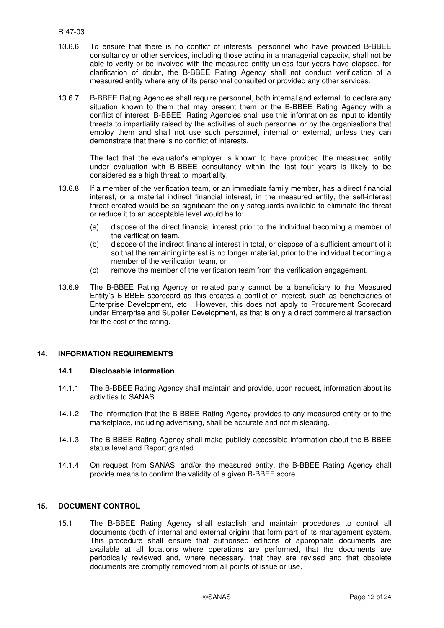- 13.6.6 To ensure that there is no conflict of interests, personnel who have provided B-BBEE consultancy or other services, including those acting in a managerial capacity, shall not be able to verify or be involved with the measured entity unless four years have elapsed, for clarification of doubt, the B-BBEE Rating Agency shall not conduct verification of a measured entity where any of its personnel consulted or provided any other services.
- 13.6.7 B-BBEE Rating Agencies shall require personnel, both internal and external, to declare any situation known to them that may present them or the B-BBEE Rating Agency with a conflict of interest. B-BBEE Rating Agencies shall use this information as input to identify threats to impartiality raised by the activities of such personnel or by the organisations that employ them and shall not use such personnel, internal or external, unless they can demonstrate that there is no conflict of interests.

 The fact that the evaluator's employer is known to have provided the measured entity under evaluation with B-BBEE consultancy within the last four years is likely to be considered as a high threat to impartiality.

- 13.6.8 If a member of the verification team, or an immediate family member, has a direct financial interest, or a material indirect financial interest, in the measured entity, the self-interest threat created would be so significant the only safeguards available to eliminate the threat or reduce it to an acceptable level would be to:
	- (a) dispose of the direct financial interest prior to the individual becoming a member of the verification team,
	- (b) dispose of the indirect financial interest in total, or dispose of a sufficient amount of it so that the remaining interest is no longer material, prior to the individual becoming a member of the verification team, or
	- (c) remove the member of the verification team from the verification engagement.
- 13.6.9 The B-BBEE Rating Agency or related party cannot be a beneficiary to the Measured Entity's B-BBEE scorecard as this creates a conflict of interest, such as beneficiaries of Enterprise Development, etc. However, this does not apply to Procurement Scorecard under Enterprise and Supplier Development, as that is only a direct commercial transaction for the cost of the rating.

#### **14. INFORMATION REQUIREMENTS**

#### **14.1 Disclosable information**

- 14.1.1 The B-BBEE Rating Agency shall maintain and provide, upon request, information about its activities to SANAS.
- 14.1.2 The information that the B-BBEE Rating Agency provides to any measured entity or to the marketplace, including advertising, shall be accurate and not misleading.
- 14.1.3 The B-BBEE Rating Agency shall make publicly accessible information about the B-BBEE status level and Report granted.
- 14.1.4 On request from SANAS, and/or the measured entity, the B-BBEE Rating Agency shall provide means to confirm the validity of a given B-BBEE score.

#### **15. DOCUMENT CONTROL**

15.1 The B-BBEE Rating Agency shall establish and maintain procedures to control all documents (both of internal and external origin) that form part of its management system. This procedure shall ensure that authorised editions of appropriate documents are available at all locations where operations are performed, that the documents are periodically reviewed and, where necessary, that they are revised and that obsolete documents are promptly removed from all points of issue or use.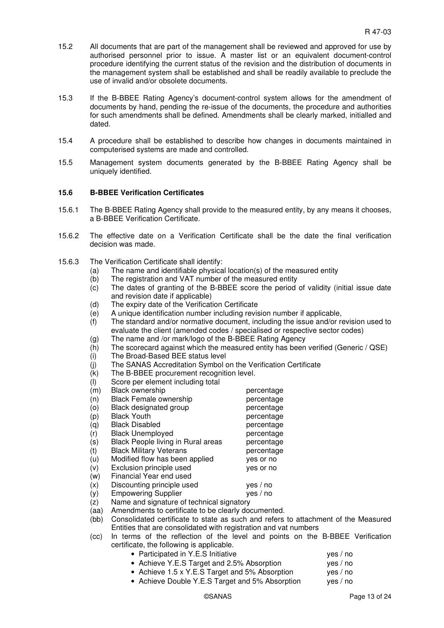- 15.2 All documents that are part of the management shall be reviewed and approved for use by authorised personnel prior to issue. A master list or an equivalent document-control procedure identifying the current status of the revision and the distribution of documents in the management system shall be established and shall be readily available to preclude the use of invalid and/or obsolete documents.
- 15.3 If the B-BBEE Rating Agency's document-control system allows for the amendment of documents by hand, pending the re-issue of the documents, the procedure and authorities for such amendments shall be defined. Amendments shall be clearly marked, initialled and dated.
- 15.4 A procedure shall be established to describe how changes in documents maintained in computerised systems are made and controlled.
- 15.5 Management system documents generated by the B-BBEE Rating Agency shall be uniquely identified.

#### **15.6 B-BBEE Verification Certificates**

- 15.6.1 The B-BBEE Rating Agency shall provide to the measured entity, by any means it chooses, a B-BBEE Verification Certificate.
- 15.6.2 The effective date on a Verification Certificate shall be the date the final verification decision was made.
- 15.6.3 The Verification Certificate shall identify:
	- (a) The name and identifiable physical location(s) of the measured entity
	- (b) The registration and VAT number of the measured entity
	- (c) The dates of granting of the B-BBEE score the period of validity (initial issue date and revision date if applicable)
	- (d) The expiry date of the Verification Certificate
	- (e) A unique identification number including revision number if applicable,
	- $(f)$  The standard and/or normative document, including the issue and/or revision used to evaluate the client (amended codes / specialised or respective sector codes)
	- (g) The name and /or mark/logo of the B-BBEE Rating Agency
	- (h) The scorecard against which the measured entity has been verified (Generic / QSE)
	- (i) The Broad-Based BEE status level
	- (j) The SANAS Accreditation Symbol on the Verification Certificate
	- (k) The B-BBEE procurement recognition level.
	- (l) Score per element including total
	- $(m)$  Black ownership percentage (n) Black Female ownership bercentage (o) Black designated group bercentage (p) Black Youth percentage (q) Black Disabled percentage (r) Black Unemployed percentage (s) Black People living in Rural areas percentage (t) Black Military Veterans percentage (u) Modified flow has been applied yes or no (v) Exclusion principle used yes or no (w) Financial Year end used (x) Discounting principle used yes / no (y) Empowering Supplier yes / no
	- (z) Name and signature of technical signatory
	- (aa) Amendments to certificate to be clearly documented.
	- (bb) Consolidated certificate to state as such and refers to attachment of the Measured Entities that are consolidated with registration and vat numbers
	- (cc) In terms of the reflection of the level and points on the B-BBEE Verification certificate, the following is applicable.
		- Participated in Y.E.S Initiative ves / no
		- Achieve Y.E.S Target and 2.5% Absorption ves / no
		- Achieve 1.5 x Y.E.S Target and 5% Absorption yes / no
		- Achieve Double Y.E.S Target and 5% Absorption yes / no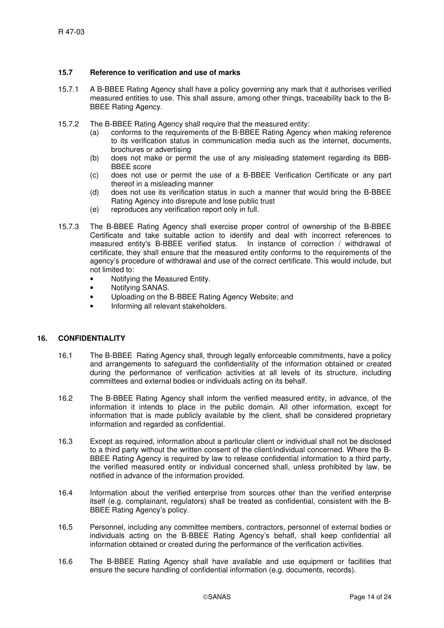#### **15.7 Reference to verification and use of marks**

- 15.7.1 A B-BBEE Rating Agency shall have a policy governing any mark that it authorises verified measured entities to use. This shall assure, among other things, traceability back to the B-BBEE Rating Agency.
- 15.7.2 The B-BBEE Rating Agency shall require that the measured entity:
	- (a) conforms to the requirements of the B-BBEE Rating Agency when making reference to its verification status in communication media such as the internet, documents, brochures or advertising
	- (b) does not make or permit the use of any misleading statement regarding its BBB-BBEE score
	- (c) does not use or permit the use of a B-BBEE Verification Certificate or any part thereof in a misleading manner
	- (d) does not use its verification status in such a manner that would bring the B-BBEE Rating Agency into disrepute and lose public trust
	- (e) reproduces any verification report only in full.
- 15.7.3 The B-BBEE Rating Agency shall exercise proper control of ownership of the B-BBEE Certificate and take suitable action to identify and deal with incorrect references to measured entity's B-BBEE verified status. In instance of correction / withdrawal of certificate, they shall ensure that the measured entity conforms to the requirements of the agency's procedure of withdrawal and use of the correct certificate. This would include, but not limited to:
	- Notifying the Measured Entity.
	- Notifying SANAS.
	- Uploading on the B-BBEE Rating Agency Website; and
	- Informing all relevant stakeholders.

#### **16. CONFIDENTIALITY**

- 16.1 The B-BBEE Rating Agency shall, through legally enforceable commitments, have a policy and arrangements to safeguard the confidentiality of the information obtained or created during the performance of verification activities at all levels of its structure, including committees and external bodies or individuals acting on its behalf.
- 16.2 The B-BBEE Rating Agency shall inform the verified measured entity, in advance, of the information it intends to place in the public domain. All other information, except for information that is made publicly available by the client, shall be considered proprietary information and regarded as confidential.
- 16.3 Except as required, information about a particular client or individual shall not be disclosed to a third party without the written consent of the client/individual concerned. Where the B-BBEE Rating Agency is required by law to release confidential information to a third party, the verified measured entity or individual concerned shall, unless prohibited by law, be notified in advance of the information provided.
- 16.4 Information about the verified enterprise from sources other than the verified enterprise itself (e.g. complainant, regulators) shall be treated as confidential, consistent with the B-BBEE Rating Agency's policy.
- 16.5 Personnel, including any committee members, contractors, personnel of external bodies or individuals acting on the B-BBEE Rating Agency's behalf, shall keep confidential all information obtained or created during the performance of the verification activities.
- 16.6 The B-BBEE Rating Agency shall have available and use equipment or facilities that ensure the secure handling of confidential information (e.g. documents, records).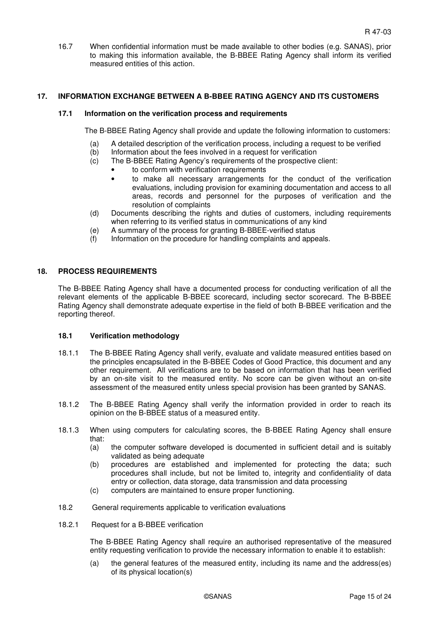16.7 When confidential information must be made available to other bodies (e.g. SANAS), prior to making this information available, the B-BBEE Rating Agency shall inform its verified measured entities of this action.

#### **17. INFORMATION EXCHANGE BETWEEN A B-BBEE RATING AGENCY AND ITS CUSTOMERS**

#### **17.1 Information on the verification process and requirements**

The B-BBEE Rating Agency shall provide and update the following information to customers:

- (a) A detailed description of the verification process, including a request to be verified
- (b) Information about the fees involved in a request for verification
- (c) The B-BBEE Rating Agency's requirements of the prospective client:
	- to conform with verification requirements
	- to make all necessary arrangements for the conduct of the verification evaluations, including provision for examining documentation and access to all areas, records and personnel for the purposes of verification and the resolution of complaints
- (d) Documents describing the rights and duties of customers, including requirements when referring to its verified status in communications of any kind
- (e) A summary of the process for granting B-BBEE-verified status
- (f) Information on the procedure for handling complaints and appeals.

#### **18. PROCESS REQUIREMENTS**

The B-BBEE Rating Agency shall have a documented process for conducting verification of all the relevant elements of the applicable B-BBEE scorecard, including sector scorecard. The B-BBEE Rating Agency shall demonstrate adequate expertise in the field of both B-BBEE verification and the reporting thereof.

#### **18.1 Verification methodology**

- 18.1.1 The B-BBEE Rating Agency shall verify, evaluate and validate measured entities based on the principles encapsulated in the B-BBEE Codes of Good Practice, this document and any other requirement. All verifications are to be based on information that has been verified by an on-site visit to the measured entity. No score can be given without an on-site assessment of the measured entity unless special provision has been granted by SANAS.
- 18.1.2 The B-BBEE Rating Agency shall verify the information provided in order to reach its opinion on the B-BBEE status of a measured entity.
- 18.1.3 When using computers for calculating scores, the B-BBEE Rating Agency shall ensure that:
	- (a) the computer software developed is documented in sufficient detail and is suitably validated as being adequate
	- (b) procedures are established and implemented for protecting the data; such procedures shall include, but not be limited to, integrity and confidentiality of data entry or collection, data storage, data transmission and data processing
	- (c) computers are maintained to ensure proper functioning.
- 18.2 General requirements applicable to verification evaluations
- 18.2.1 Request for a B-BBEE verification

The B-BBEE Rating Agency shall require an authorised representative of the measured entity requesting verification to provide the necessary information to enable it to establish:

(a) the general features of the measured entity, including its name and the address(es) of its physical location(s)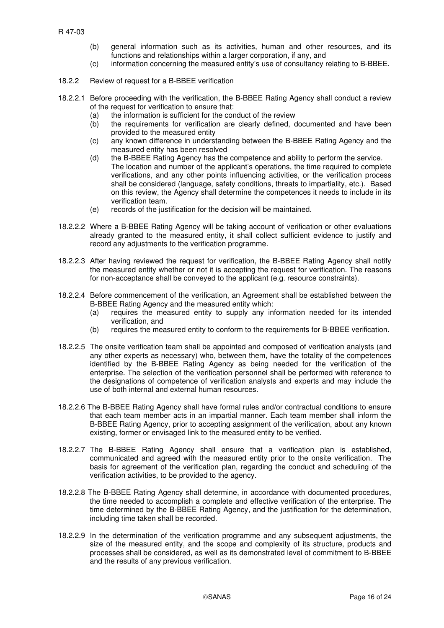- (b) general information such as its activities, human and other resources, and its functions and relationships within a larger corporation, if any, and
- (c) information concerning the measured entity's use of consultancy relating to B-BBEE.
- 18.2.2 Review of request for a B-BBEE verification
- 18.2.2.1 Before proceeding with the verification, the B-BBEE Rating Agency shall conduct a review of the request for verification to ensure that:
	- (a) the information is sufficient for the conduct of the review
	- (b) the requirements for verification are clearly defined, documented and have been provided to the measured entity
	- (c) any known difference in understanding between the B-BBEE Rating Agency and the measured entity has been resolved
	- (d) the B-BBEE Rating Agency has the competence and ability to perform the service. The location and number of the applicant's operations, the time required to complete verifications, and any other points influencing activities, or the verification process shall be considered (language, safety conditions, threats to impartiality, etc.). Based on this review, the Agency shall determine the competences it needs to include in its verification team.
	- (e) records of the justification for the decision will be maintained.
- 18.2.2.2 Where a B-BBEE Rating Agency will be taking account of verification or other evaluations already granted to the measured entity, it shall collect sufficient evidence to justify and record any adjustments to the verification programme.
- 18.2.2.3 After having reviewed the request for verification, the B-BBEE Rating Agency shall notify the measured entity whether or not it is accepting the request for verification. The reasons for non-acceptance shall be conveyed to the applicant (e.g. resource constraints).
- 18.2.2.4 Before commencement of the verification, an Agreement shall be established between the B-BBEE Rating Agency and the measured entity which:
	- (a) requires the measured entity to supply any information needed for its intended verification, and
	- (b) requires the measured entity to conform to the requirements for B-BBEE verification.
- 18.2.2.5 The onsite verification team shall be appointed and composed of verification analysts (and any other experts as necessary) who, between them, have the totality of the competences identified by the B-BBEE Rating Agency as being needed for the verification of the enterprise. The selection of the verification personnel shall be performed with reference to the designations of competence of verification analysts and experts and may include the use of both internal and external human resources.
- 18.2.2.6 The B-BBEE Rating Agency shall have formal rules and/or contractual conditions to ensure that each team member acts in an impartial manner. Each team member shall inform the B-BBEE Rating Agency, prior to accepting assignment of the verification, about any known existing, former or envisaged link to the measured entity to be verified.
- 18.2.2.7 The B-BBEE Rating Agency shall ensure that a verification plan is established, communicated and agreed with the measured entity prior to the onsite verification. The basis for agreement of the verification plan, regarding the conduct and scheduling of the verification activities, to be provided to the agency.
- 18.2.2.8 The B-BBEE Rating Agency shall determine, in accordance with documented procedures, the time needed to accomplish a complete and effective verification of the enterprise. The time determined by the B-BBEE Rating Agency, and the justification for the determination, including time taken shall be recorded.
- 18.2.2.9 In the determination of the verification programme and any subsequent adjustments, the size of the measured entity, and the scope and complexity of its structure, products and processes shall be considered, as well as its demonstrated level of commitment to B-BBEE and the results of any previous verification.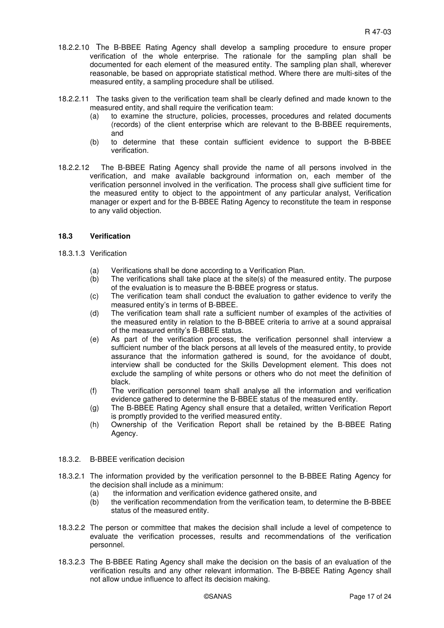- 18.2.2.10 The B-BBEE Rating Agency shall develop a sampling procedure to ensure proper verification of the whole enterprise. The rationale for the sampling plan shall be documented for each element of the measured entity. The sampling plan shall, wherever reasonable, be based on appropriate statistical method. Where there are multi-sites of the measured entity, a sampling procedure shall be utilised.
- 18.2.2.11 The tasks given to the verification team shall be clearly defined and made known to the measured entity, and shall require the verification team:
	- (a) to examine the structure, policies, processes, procedures and related documents (records) of the client enterprise which are relevant to the B-BBEE requirements, and
	- (b) to determine that these contain sufficient evidence to support the B-BBEE verification.
- 18.2.2.12 The B-BBEE Rating Agency shall provide the name of all persons involved in the verification, and make available background information on, each member of the verification personnel involved in the verification. The process shall give sufficient time for the measured entity to object to the appointment of any particular analyst, Verification manager or expert and for the B-BBEE Rating Agency to reconstitute the team in response to any valid objection.

#### **18.3 Verification**

- 18.3.1.3 Verification
	- (a) Verifications shall be done according to a Verification Plan.
	- (b) The verifications shall take place at the site(s) of the measured entity. The purpose of the evaluation is to measure the B-BBEE progress or status.
	- (c) The verification team shall conduct the evaluation to gather evidence to verify the measured entity's in terms of B-BBEE.
	- (d) The verification team shall rate a sufficient number of examples of the activities of the measured entity in relation to the B-BBEE criteria to arrive at a sound appraisal of the measured entity's B-BBEE status.
	- (e) As part of the verification process, the verification personnel shall interview a sufficient number of the black persons at all levels of the measured entity, to provide assurance that the information gathered is sound, for the avoidance of doubt, interview shall be conducted for the Skills Development element. This does not exclude the sampling of white persons or others who do not meet the definition of black.
	- (f) The verification personnel team shall analyse all the information and verification evidence gathered to determine the B-BBEE status of the measured entity.
	- (g) The B-BBEE Rating Agency shall ensure that a detailed, written Verification Report is promptly provided to the verified measured entity.
	- (h) Ownership of the Verification Report shall be retained by the B-BBEE Rating Agency.

#### 18.3.2. B-BBEE verification decision

- 18.3.2.1 The information provided by the verification personnel to the B-BBEE Rating Agency for the decision shall include as a minimum:
	- (a) the information and verification evidence gathered onsite, and
	- (b) the verification recommendation from the verification team, to determine the B-BBEE status of the measured entity.
- 18.3.2.2 The person or committee that makes the decision shall include a level of competence to evaluate the verification processes, results and recommendations of the verification personnel.
- 18.3.2.3 The B-BBEE Rating Agency shall make the decision on the basis of an evaluation of the verification results and any other relevant information. The B-BBEE Rating Agency shall not allow undue influence to affect its decision making.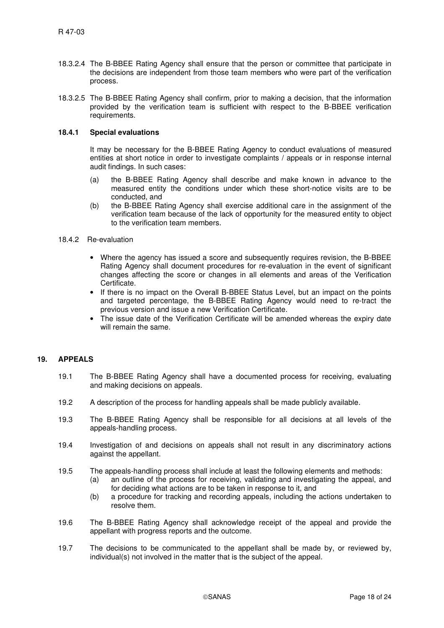- 18.3.2.4 The B-BBEE Rating Agency shall ensure that the person or committee that participate in the decisions are independent from those team members who were part of the verification process.
- 18.3.2.5 The B-BBEE Rating Agency shall confirm, prior to making a decision, that the information provided by the verification team is sufficient with respect to the B-BBEE verification requirements.

#### **18.4.1 Special evaluations**

It may be necessary for the B-BBEE Rating Agency to conduct evaluations of measured entities at short notice in order to investigate complaints / appeals or in response internal audit findings. In such cases:

- (a) the B-BBEE Rating Agency shall describe and make known in advance to the measured entity the conditions under which these short-notice visits are to be conducted, and
- (b) the B-BBEE Rating Agency shall exercise additional care in the assignment of the verification team because of the lack of opportunity for the measured entity to object to the verification team members.
- 18.4.2 Re-evaluation
	- Where the agency has issued a score and subsequently requires revision, the B-BBEE Rating Agency shall document procedures for re-evaluation in the event of significant changes affecting the score or changes in all elements and areas of the Verification Certificate.
	- If there is no impact on the Overall B-BBEE Status Level, but an impact on the points and targeted percentage, the B-BBEE Rating Agency would need to re-tract the previous version and issue a new Verification Certificate.
	- The issue date of the Verification Certificate will be amended whereas the expiry date will remain the same.

#### **19. APPEALS**

- 19.1 The B-BBEE Rating Agency shall have a documented process for receiving, evaluating and making decisions on appeals.
- 19.2 A description of the process for handling appeals shall be made publicly available.
- 19.3 The B-BBEE Rating Agency shall be responsible for all decisions at all levels of the appeals-handling process.
- 19.4 Investigation of and decisions on appeals shall not result in any discriminatory actions against the appellant.
- 19.5 The appeals-handling process shall include at least the following elements and methods:
	- (a) an outline of the process for receiving, validating and investigating the appeal, and for deciding what actions are to be taken in response to it, and
	- (b) a procedure for tracking and recording appeals, including the actions undertaken to resolve them.
- 19.6 The B-BBEE Rating Agency shall acknowledge receipt of the appeal and provide the appellant with progress reports and the outcome.
- 19.7 The decisions to be communicated to the appellant shall be made by, or reviewed by, individual(s) not involved in the matter that is the subject of the appeal.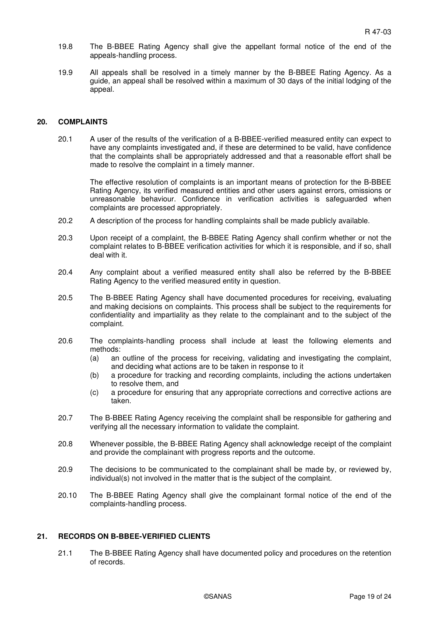- 19.8 The B-BBEE Rating Agency shall give the appellant formal notice of the end of the appeals-handling process.
- 19.9 All appeals shall be resolved in a timely manner by the B-BBEE Rating Agency. As a guide, an appeal shall be resolved within a maximum of 30 days of the initial lodging of the appeal.

#### **20. COMPLAINTS**

20.1 A user of the results of the verification of a B-BBEE-verified measured entity can expect to have any complaints investigated and, if these are determined to be valid, have confidence that the complaints shall be appropriately addressed and that a reasonable effort shall be made to resolve the complaint in a timely manner.

The effective resolution of complaints is an important means of protection for the B-BBEE Rating Agency, its verified measured entities and other users against errors, omissions or unreasonable behaviour. Confidence in verification activities is safeguarded when complaints are processed appropriately.

- 20.2 A description of the process for handling complaints shall be made publicly available.
- 20.3 Upon receipt of a complaint, the B-BBEE Rating Agency shall confirm whether or not the complaint relates to B-BBEE verification activities for which it is responsible, and if so, shall deal with it.
- 20.4 Any complaint about a verified measured entity shall also be referred by the B-BBEE Rating Agency to the verified measured entity in question.
- 20.5 The B-BBEE Rating Agency shall have documented procedures for receiving, evaluating and making decisions on complaints. This process shall be subject to the requirements for confidentiality and impartiality as they relate to the complainant and to the subject of the complaint.
- 20.6 The complaints-handling process shall include at least the following elements and methods:
	- (a) an outline of the process for receiving, validating and investigating the complaint, and deciding what actions are to be taken in response to it
	- (b) a procedure for tracking and recording complaints, including the actions undertaken to resolve them, and
	- (c) a procedure for ensuring that any appropriate corrections and corrective actions are taken.
- 20.7 The B-BBEE Rating Agency receiving the complaint shall be responsible for gathering and verifying all the necessary information to validate the complaint.
- 20.8 Whenever possible, the B-BBEE Rating Agency shall acknowledge receipt of the complaint and provide the complainant with progress reports and the outcome.
- 20.9 The decisions to be communicated to the complainant shall be made by, or reviewed by, individual(s) not involved in the matter that is the subject of the complaint.
- 20.10 The B-BBEE Rating Agency shall give the complainant formal notice of the end of the complaints-handling process.

#### **21. RECORDS ON B-BBEE-VERIFIED CLIENTS**

21.1 The B-BBEE Rating Agency shall have documented policy and procedures on the retention of records.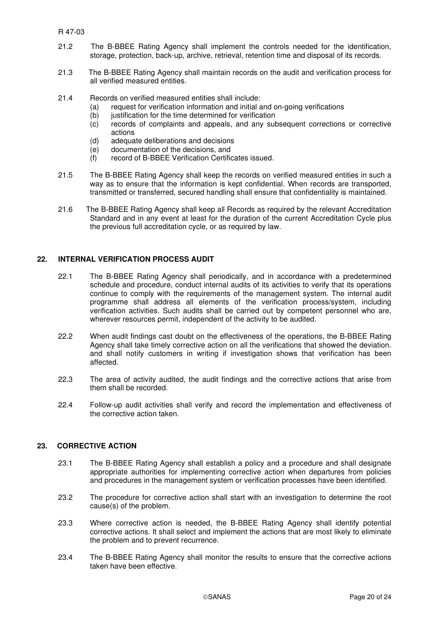R 47-03

- 21.2 The B-BBEE Rating Agency shall implement the controls needed for the identification, storage, protection, back-up, archive, retrieval, retention time and disposal of its records.
- 21.3 The B-BBEE Rating Agency shall maintain records on the audit and verification process for all verified measured entities.
- 21.4 Records on verified measured entities shall include:
	- (a) request for verification information and initial and on-going verifications
	- (b) justification for the time determined for verification
	- (c) records of complaints and appeals, and any subsequent corrections or corrective actions
	- (d) adequate deliberations and decisions
	- (e) documentation of the decisions, and
	- (f) record of B-BBEE Verification Certificates issued.
- 21.5 The B-BBEE Rating Agency shall keep the records on verified measured entities in such a way as to ensure that the information is kept confidential. When records are transported, transmitted or transferred, secured handling shall ensure that confidentiality is maintained.
- 21.6The B-BBEE Rating Agency shall keep all Records as required by the relevant Accreditation Standard and in any event at least for the duration of the current Accreditation Cycle plus the previous full accreditation cycle, or as required by law.

#### **22. INTERNAL VERIFICATION PROCESS AUDIT**

- 22.1 The B-BBEE Rating Agency shall periodically, and in accordance with a predetermined schedule and procedure, conduct internal audits of its activities to verify that its operations continue to comply with the requirements of the management system. The internal audit programme shall address all elements of the verification process/system, including verification activities. Such audits shall be carried out by competent personnel who are, wherever resources permit, independent of the activity to be audited.
- 22.2 When audit findings cast doubt on the effectiveness of the operations, the B-BBEE Rating Agency shall take timely corrective action on all the verifications that showed the deviation. and shall notify customers in writing if investigation shows that verification has been affected.
- 22.3 The area of activity audited, the audit findings and the corrective actions that arise from them shall be recorded.
- 22.4 Follow-up audit activities shall verify and record the implementation and effectiveness of the corrective action taken.

#### **23. CORRECTIVE ACTION**

- 23.1 The B-BBEE Rating Agency shall establish a policy and a procedure and shall designate appropriate authorities for implementing corrective action when departures from policies and procedures in the management system or verification processes have been identified.
- 23.2 The procedure for corrective action shall start with an investigation to determine the root cause(s) of the problem.
- 23.3 Where corrective action is needed, the B-BBEE Rating Agency shall identify potential corrective actions. It shall select and implement the actions that are most likely to eliminate the problem and to prevent recurrence.
- 23.4 The B-BBEE Rating Agency shall monitor the results to ensure that the corrective actions taken have been effective.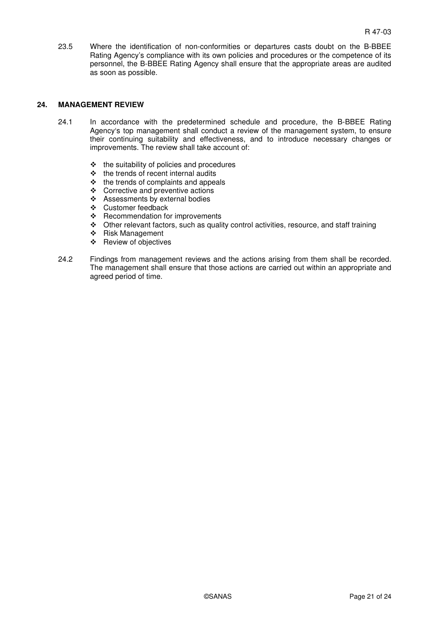23.5 Where the identification of non-conformities or departures casts doubt on the B-BBEE Rating Agency's compliance with its own policies and procedures or the competence of its personnel, the B-BBEE Rating Agency shall ensure that the appropriate areas are audited as soon as possible.

#### **24. MANAGEMENT REVIEW**

- 24.1 In accordance with the predetermined schedule and procedure, the B-BBEE Rating Agency's top management shall conduct a review of the management system, to ensure their continuing suitability and effectiveness, and to introduce necessary changes or improvements. The review shall take account of:
	- $\div$  the suitability of policies and procedures
	- $\div$  the trends of recent internal audits
	- $\div$  the trends of complaints and appeals
	- Corrective and preventive actions
	- Assessments by external bodies
	- Customer feedback
	- \* Recommendation for improvements
	- Other relevant factors, such as quality control activities, resource, and staff training
	- ❖ Risk Management
	- Review of objectives
- 24.2 Findings from management reviews and the actions arising from them shall be recorded. The management shall ensure that those actions are carried out within an appropriate and agreed period of time.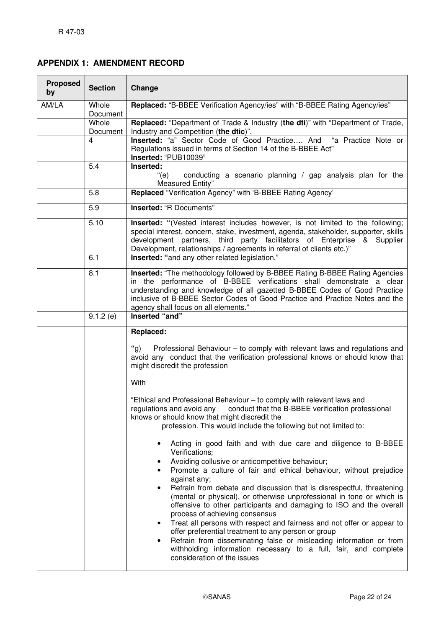## **APPENDIX 1: AMENDMENT RECORD**

| <b>Proposed</b><br>by | <b>Section</b>    | Change                                                                                                                                                                                                                                                                                                                                                                                                                                                                                                                                                                                                                                                                                                                                                                                                                                                |  |
|-----------------------|-------------------|-------------------------------------------------------------------------------------------------------------------------------------------------------------------------------------------------------------------------------------------------------------------------------------------------------------------------------------------------------------------------------------------------------------------------------------------------------------------------------------------------------------------------------------------------------------------------------------------------------------------------------------------------------------------------------------------------------------------------------------------------------------------------------------------------------------------------------------------------------|--|
| AM/LA                 | Whole<br>Document | Replaced: "B-BBEE Verification Agency/ies" with "B-BBEE Rating Agency/ies"                                                                                                                                                                                                                                                                                                                                                                                                                                                                                                                                                                                                                                                                                                                                                                            |  |
|                       | Whole<br>Document | Replaced: "Department of Trade & Industry (the dti)" with "Department of Trade,<br>Industry and Competition (the dtic)".                                                                                                                                                                                                                                                                                                                                                                                                                                                                                                                                                                                                                                                                                                                              |  |
|                       | $\overline{4}$    | Inserted: "a" Sector Code of Good Practice And "a Practice Note or<br>Regulations issued in terms of Section 14 of the B-BBEE Act"<br>Inserted: "PUB10039"                                                                                                                                                                                                                                                                                                                                                                                                                                                                                                                                                                                                                                                                                            |  |
|                       | 5.4               | Inserted:<br>conducting a scenario planning / gap analysis plan for the<br>"(e)<br>Measured Entity"                                                                                                                                                                                                                                                                                                                                                                                                                                                                                                                                                                                                                                                                                                                                                   |  |
|                       | 5.8               | Replaced "Verification Agency" with 'B-BBEE Rating Agency'                                                                                                                                                                                                                                                                                                                                                                                                                                                                                                                                                                                                                                                                                                                                                                                            |  |
|                       | 5.9               | <b>Inserted: "R Documents"</b>                                                                                                                                                                                                                                                                                                                                                                                                                                                                                                                                                                                                                                                                                                                                                                                                                        |  |
|                       | 5.10              | <b>Inserted:</b> "(Vested interest includes however, is not limited to the following;<br>special interest, concern, stake, investment, agenda, stakeholder, supporter, skills<br>development partners, third party facilitators of Enterprise & Supplier<br>Development, relationships / agreements in referral of clients etc.)"                                                                                                                                                                                                                                                                                                                                                                                                                                                                                                                     |  |
|                       | 6.1               | Inserted: "and any other related legislation."                                                                                                                                                                                                                                                                                                                                                                                                                                                                                                                                                                                                                                                                                                                                                                                                        |  |
|                       | 8.1               | Inserted: "The methodology followed by B-BBEE Rating B-BBEE Rating Agencies<br>in the performance of B-BBEE verifications shall demonstrate a clear<br>understanding and knowledge of all gazetted B-BBEE Codes of Good Practice<br>inclusive of B-BBEE Sector Codes of Good Practice and Practice Notes and the<br>agency shall focus on all elements."                                                                                                                                                                                                                                                                                                                                                                                                                                                                                              |  |
|                       | 9.1.2(e)          | Inserted "and"                                                                                                                                                                                                                                                                                                                                                                                                                                                                                                                                                                                                                                                                                                                                                                                                                                        |  |
|                       |                   | Replaced:<br>"g)<br>Professional Behaviour - to comply with relevant laws and regulations and<br>avoid any conduct that the verification professional knows or should know that<br>might discredit the profession<br>With                                                                                                                                                                                                                                                                                                                                                                                                                                                                                                                                                                                                                             |  |
|                       |                   | "Ethical and Professional Behaviour - to comply with relevant laws and<br>conduct that the B-BBEE verification professional<br>regulations and avoid any<br>knows or should know that might discredit the<br>profession. This would include the following but not limited to:<br>Acting in good faith and with due care and diligence to B-BBEE<br>Verifications;<br>Avoiding collusive or anticompetitive behaviour;<br>Promote a culture of fair and ethical behaviour, without prejudice<br>against any;<br>Refrain from debate and discussion that is disrespectful, threatening<br>(mental or physical), or otherwise unprofessional in tone or which is<br>offensive to other participants and damaging to ISO and the overall<br>process of achieving consensus<br>Treat all persons with respect and fairness and not offer or appear to<br>٠ |  |
|                       |                   | offer preferential treatment to any person or group<br>Refrain from disseminating false or misleading information or from<br>$\bullet$<br>withholding information necessary to a full, fair, and complete<br>consideration of the issues                                                                                                                                                                                                                                                                                                                                                                                                                                                                                                                                                                                                              |  |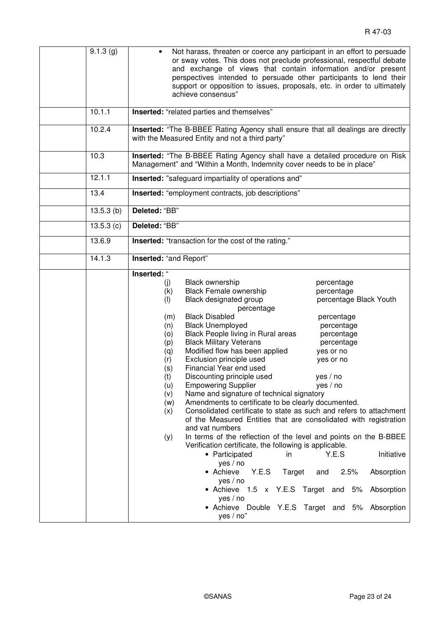| $\overline{9.1.3}$ (g) | Not harass, threaten or coerce any participant in an effort to persuade<br>or sway votes. This does not preclude professional, respectful debate<br>and exchange of views that contain information and/or present<br>perspectives intended to persuade other participants to lend their<br>support or opposition to issues, proposals, etc. in order to ultimately<br>achieve consensus"                                                                                                                                                                                                                                                                                                                                                                                                                                                                                                                                                                                                                                                                                                                                                                                                                                                                                                                                                     |
|------------------------|----------------------------------------------------------------------------------------------------------------------------------------------------------------------------------------------------------------------------------------------------------------------------------------------------------------------------------------------------------------------------------------------------------------------------------------------------------------------------------------------------------------------------------------------------------------------------------------------------------------------------------------------------------------------------------------------------------------------------------------------------------------------------------------------------------------------------------------------------------------------------------------------------------------------------------------------------------------------------------------------------------------------------------------------------------------------------------------------------------------------------------------------------------------------------------------------------------------------------------------------------------------------------------------------------------------------------------------------|
| 10.1.1                 | <b>Inserted:</b> "related parties and themselves"                                                                                                                                                                                                                                                                                                                                                                                                                                                                                                                                                                                                                                                                                                                                                                                                                                                                                                                                                                                                                                                                                                                                                                                                                                                                                            |
| 10.2.4                 | Inserted: "The B-BBEE Rating Agency shall ensure that all dealings are directly<br>with the Measured Entity and not a third party"                                                                                                                                                                                                                                                                                                                                                                                                                                                                                                                                                                                                                                                                                                                                                                                                                                                                                                                                                                                                                                                                                                                                                                                                           |
| 10.3                   | Inserted: "The B-BBEE Rating Agency shall have a detailed procedure on Risk<br>Management" and "Within a Month, Indemnity cover needs to be in place"                                                                                                                                                                                                                                                                                                                                                                                                                                                                                                                                                                                                                                                                                                                                                                                                                                                                                                                                                                                                                                                                                                                                                                                        |
| 12.1.1                 | <b>Inserted:</b> "safeguard impartiality of operations and"                                                                                                                                                                                                                                                                                                                                                                                                                                                                                                                                                                                                                                                                                                                                                                                                                                                                                                                                                                                                                                                                                                                                                                                                                                                                                  |
| 13.4                   | <b>Inserted:</b> "employment contracts, job descriptions"                                                                                                                                                                                                                                                                                                                                                                                                                                                                                                                                                                                                                                                                                                                                                                                                                                                                                                                                                                                                                                                                                                                                                                                                                                                                                    |
| 13.5.3(b)              | Deleted: "BB"                                                                                                                                                                                                                                                                                                                                                                                                                                                                                                                                                                                                                                                                                                                                                                                                                                                                                                                                                                                                                                                                                                                                                                                                                                                                                                                                |
| 13.5.3(c)              | Deleted: "BB"                                                                                                                                                                                                                                                                                                                                                                                                                                                                                                                                                                                                                                                                                                                                                                                                                                                                                                                                                                                                                                                                                                                                                                                                                                                                                                                                |
| 13.6.9                 | <b>Inserted:</b> "transaction for the cost of the rating."                                                                                                                                                                                                                                                                                                                                                                                                                                                                                                                                                                                                                                                                                                                                                                                                                                                                                                                                                                                                                                                                                                                                                                                                                                                                                   |
| 14.1.3                 | Inserted: "and Report"                                                                                                                                                                                                                                                                                                                                                                                                                                                                                                                                                                                                                                                                                                                                                                                                                                                                                                                                                                                                                                                                                                                                                                                                                                                                                                                       |
|                        | Inserted: "<br>Black ownership<br>(j)<br>percentage<br><b>Black Female ownership</b><br>(k)<br>percentage<br>Black designated group<br>(1)<br>percentage Black Youth<br>percentage<br><b>Black Disabled</b><br>(m)<br>percentage<br><b>Black Unemployed</b><br>(n)<br>percentage<br>Black People living in Rural areas<br>percentage<br>(0)<br><b>Black Military Veterans</b><br>percentage<br>(p)<br>Modified flow has been applied<br>(q)<br>yes or no<br>Exclusion principle used<br>(r)<br>yes or no<br>Financial Year end used<br>(s)<br>(t)<br>Discounting principle used<br>ves / no<br><b>Empowering Supplier</b><br>yes / no<br>(u)<br>(v)<br>Name and signature of technical signatory<br>Amendments to certificate to be clearly documented.<br>(w)<br>Consolidated certificate to state as such and refers to attachment<br>(x)<br>of the Measured Entities that are consolidated with registration<br>and vat numbers<br>In terms of the reflection of the level and points on the B-BBEE<br>(y)<br>Verification certificate, the following is applicable.<br>Y.E.S<br>Initiative<br>• Participated<br>in<br>yes / no<br>• Achieve<br>Y.E.S<br>Target<br>2.5%<br>Absorption<br>and<br>yes / no<br>• Achieve 1.5 x Y.E.S Target and 5%<br>Absorption<br>yes / no<br>• Achieve Double Y.E.S Target and 5% Absorption<br>yes / no" |